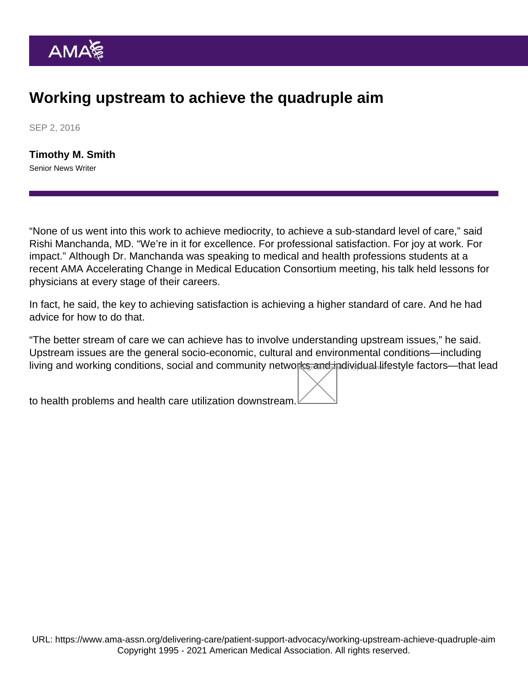## Working upstream to achieve the quadruple aim

SEP 2, 2016

[Timothy M. Smith](https://www.ama-assn.org/news-leadership-viewpoints/authors-news-leadership-viewpoints/timothy-m-smith) Senior News Writer

"None of us went into this work to achieve mediocrity, to achieve a sub-standard level of care," said Rishi Manchanda, MD. "We're in it for excellence. For professional satisfaction. For joy at work. For impact." Although Dr. Manchanda was speaking to medical and health professions students at a recent AMA [Accelerating Change in Medical Education Consortium](https://www.ama-assn.org/education/accelerating-change-medical-education/join-medical-school-conversation) meeting, his talk held lessons for physicians at every stage of their careers.

In fact, he said, the key to achieving satisfaction is achieving a higher standard of care. And he had advice for how to do that.

"The better stream of care we can achieve has to involve understanding upstream issues," he said. Upstream issues are the general socio-economic, cultural and environmental conditions—including living and working conditions, social and community network<del>s and in</del>dividual lifestyle factors—that lead

to health problems and health care utilization downstream.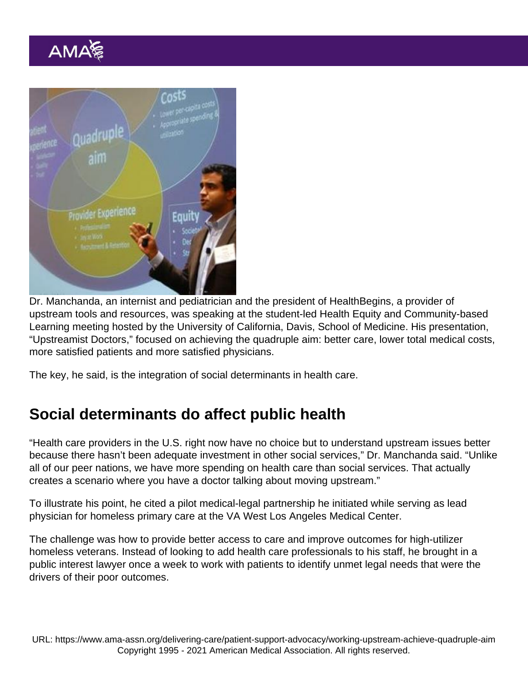Dr. Manchanda, an internist and pediatrician and the president of [HealthBegins,](http://www.healthbegins.org/) a provider of upstream tools and resources, was speaking at the student-led Health Equity and Community-based Learning meeting hosted by the University of California, Davis, School of Medicine. His presentation, "Upstreamist Doctors," focused on achieving the quadruple aim: better care, lower total medical costs, more satisfied patients and more satisfied physicians.

The key, he said, is the integration of social determinants in health care.

## Social determinants do affect public health

"Health care providers in the U.S. right now have no choice but to understand upstream issues better because there hasn't been adequate investment in other social services," Dr. Manchanda said. "Unlike all of our peer nations, we have more spending on health care than social services. That actually creates a scenario where you have a doctor talking about moving upstream."

To illustrate his point, he cited a pilot medical-legal partnership he initiated while serving as lead physician for homeless primary care at the VA West Los Angeles Medical Center.

The challenge was how to provide better access to care and improve outcomes for high-utilizer homeless veterans. Instead of looking to add health care professionals to his staff, he brought in a public interest lawyer once a week to work with patients to identify unmet legal needs that were the drivers of their poor outcomes.